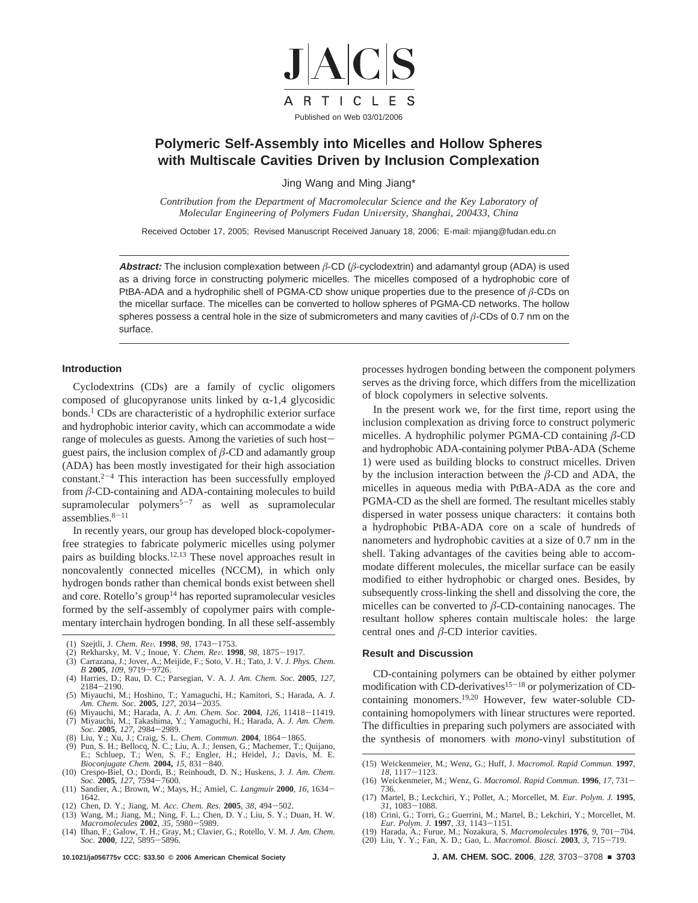

# **Polymeric Self-Assembly into Micelles and Hollow Spheres with Multiscale Cavities Driven by Inclusion Complexation**

Jing Wang and Ming Jiang\*

*Contribution from the Department of Macromolecular Science and the Key Laboratory of Molecular Engineering of Polymers Fudan University, Shanghai, 200433, China* 

Received October 17, 2005; Revised Manuscript Received January 18, 2006; E-mail: mjiang@fudan.edu.cn

**Abstract:** The inclusion complexation between *â*-CD (*â*-cyclodextrin) and adamantyl group (ADA) is used as a driving force in constructing polymeric micelles. The micelles composed of a hydrophobic core of PtBA-ADA and a hydrophilic shell of PGMA-CD show unique properties due to the presence of *â*-CDs on the micellar surface. The micelles can be converted to hollow spheres of PGMA-CD networks. The hollow spheres possess a central hole in the size of submicrometers and many cavities of *â*-CDs of 0.7 nm on the surface.

### **Introduction**

Cyclodextrins (CDs) are a family of cyclic oligomers composed of glucopyranose units linked by  $\alpha$ -1,4 glycosidic bonds.<sup>1</sup> CDs are characteristic of a hydrophilic exterior surface and hydrophobic interior cavity, which can accommodate a wide range of molecules as guests. Among the varieties of such hostguest pairs, the inclusion complex of  $\beta$ -CD and adamantly group (ADA) has been mostly investigated for their high association  $constant.<sup>2-4</sup>$  This interaction has been successfully employed from  $\beta$ -CD-containing and ADA-containing molecules to build supramolecular polymers<sup>5-7</sup> as well as supramolecular assemblies. $8-11$ 

In recently years, our group has developed block-copolymerfree strategies to fabricate polymeric micelles using polymer pairs as building blocks.12,13 These novel approaches result in noncovalently connected micelles (NCCM), in which only hydrogen bonds rather than chemical bonds exist between shell and core. Rotello's group<sup>14</sup> has reported supramolecular vesicles formed by the self-assembly of copolymer pairs with complementary interchain hydrogen bonding. In all these self-assembly

- (1) Szejtli, J. *Chem. Re*V*.* **<sup>1998</sup>**, *<sup>98</sup>*, 1743-1753. (2) Rekharsky, M. V.; Inoue, Y. *Chem. Re*V*.* **<sup>1998</sup>**, *<sup>98</sup>*, 1875-1917. (3) Carrazana, J.; Jover, A.; Meijide, F.; Soto, V. H.; Tato, J. V. *J. Phys. Chem.*
- (4) Harries, D.; Rau, D. C.; Parsegian, V. A. J. Am. Chem. Soc. 2005, 127,
- (4) Harries, D.; Rau, D. C.; Parsegian, V. A. *J. Am. Chem. Soc.* **<sup>2005</sup>**, *<sup>127</sup>*, <sup>2184</sup>-2190. (5) Miyauchi, M.; Hoshino, T.; Yamaguchi, H.; Kamitori, S.; Harada, A. *J.*
- Am. Chem. Soc. 2005, 127, 2034–2035.<br>(6) Miyauchi, M.; Harada, A. J. Am. Chem. Soc. 2004, 126, 11418–11419.<br>(7) Miyauchi, M.; Takashima, Y.; Yamaguchi, H.; Harada, A. J. Am. Chem.
- 
- 
- *Soc.* **2005**, 127, 2984–2989.<br>
(8) Liu, Y.; Xu, J.; Craig, S. L. *Chem. Commun.* **2004**, 1864–1865.<br>
(9) Pun, S. H.; Bellocq, N. C.; Liu, A. J.; Jensen, G.; Machemer, T.; Quijano, E.; Schluep, T.; Wen, S. F.; Engler, H.; *Bioconjugate Chem.* **2004,** *<sup>15</sup>*, 831-840. (10) Crespo-Biel, O.; Dordi, B.; Reinhoudt, D. N.; Huskens, J. *J. Am. Chem.*
- 
- *Soc.* **<sup>2005</sup>**, *<sup>127</sup>*, 7594-7600. (11) Sandier, A.; Brown, W.; Mays, H.; Amiel, C. *Langmuir* **<sup>2000</sup>**, *<sup>16</sup>*, 1634- 1642.<br>(12) Chen, D. Y.; Jiang, M. Acc. Chem. Res. 2005, 38, 494–502.
- (12) Chen, D. Y.; Jiang, M. *Acc. Chem. Res.* **<sup>2005</sup>**, *<sup>38</sup>*, 494-502. (13) Wang, M.; Jiang, M.; Ning, F. L.; Chen, D. Y.; Liu, S. Y.; Duan, H. W.
- *Macromolecules* **<sup>2002</sup>**, *<sup>35</sup>*, 5980-5989. (14) Ilhan, F.; Galow, T. H.; Gray, M.; Clavier, G.; Rotello, V. M. *J. Am. Chem. Soc.* **<sup>2000</sup>**, *<sup>122</sup>*, 5895-5896.

processes hydrogen bonding between the component polymers serves as the driving force, which differs from the micellization of block copolymers in selective solvents.

In the present work we, for the first time, report using the inclusion complexation as driving force to construct polymeric micelles. A hydrophilic polymer PGMA-CD containing *â*-CD and hydrophobic ADA-containing polymer PtBA-ADA (Scheme 1) were used as building blocks to construct micelles. Driven by the inclusion interaction between the  $\beta$ -CD and ADA, the micelles in aqueous media with PtBA-ADA as the core and PGMA-CD as the shell are formed. The resultant micelles stably dispersed in water possess unique characters: it contains both a hydrophobic PtBA-ADA core on a scale of hundreds of nanometers and hydrophobic cavities at a size of 0.7 nm in the shell. Taking advantages of the cavities being able to accommodate different molecules, the micellar surface can be easily modified to either hydrophobic or charged ones. Besides, by subsequently cross-linking the shell and dissolving the core, the micelles can be converted to *â*-CD-containing nanocages. The resultant hollow spheres contain multiscale holes: the large central ones and *â*-CD interior cavities.

#### **Result and Discussion**

CD-containing polymers can be obtained by either polymer modification with CD-derivatives<sup>15-18</sup> or polymerization of CDcontaining monomers.19,20 However, few water-soluble CDcontaining homopolymers with linear structures were reported. The difficulties in preparing such polymers are associated with the synthesis of monomers with *mono*-vinyl substitution of

- (17) Martel, B.; Leckchiri, Y.; Pollet, A.; Morcellet, M. *Eur. Polym. J.* **1995**, *<sup>31</sup>*, 1083-1088. (18) Crini, G.; Torri, G.; Guerrini, M.; Martel, B.; Lekchiri, Y.; Morcellet, M.
- *Eur. Polym. J.* **1997**, 33, 1143–1151.<br>(19) Harada, A.; Furue, M.; Nozakura, S. *Macromolecules* **1976**, 9, 701–704.<br>(20) Liu, Y. Y.; Fan, X. D.; Gao, L. *Macromol. Biosci.* **2003**, 3, 715–719.
- -

<sup>(15)</sup> Weickenmeier, M.; Wenz, G.; Huff, J. *Macromol. Rapid Commun.* **1997**,

*<sup>18</sup>*, 1117-1123. (16) Weickenmeier, M.; Wenz, G. *Macromol. Rapid Commun.* **<sup>1996</sup>**, *<sup>17</sup>*, 731- 736.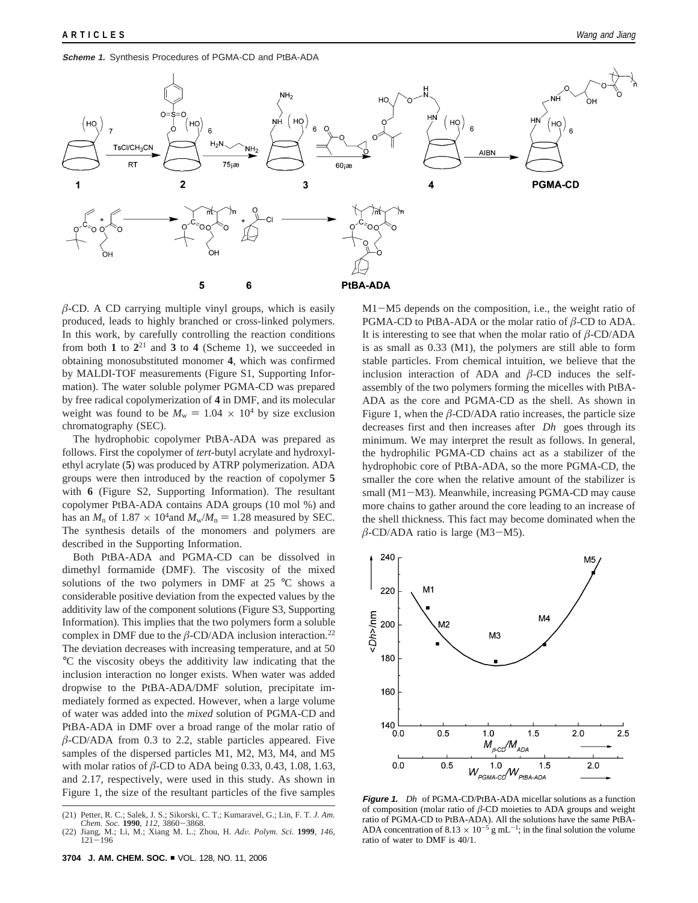#### **Scheme 1.** Synthesis Procedures of PGMA-CD and PtBA-ADA



 $\beta$ -CD. A CD carrying multiple vinyl groups, which is easily produced, leads to highly branched or cross-linked polymers. In this work, by carefully controlling the reaction conditions from both 1 to  $2^{21}$  and 3 to 4 (Scheme 1), we succeeded in obtaining monosubstituted monomer **4**, which was confirmed by MALDI-TOF measurements (Figure S1, Supporting Information). The water soluble polymer PGMA-CD was prepared by free radical copolymerization of **4** in DMF, and its molecular weight was found to be  $M_w = 1.04 \times 10^4$  by size exclusion chromatography (SEC).

The hydrophobic copolymer PtBA-ADA was prepared as follows. First the copolymer of *tert*-butyl acrylate and hydroxylethyl acrylate (**5**) was produced by ATRP polymerization. ADA groups were then introduced by the reaction of copolymer **5** with **6** (Figure S2, Supporting Information). The resultant copolymer PtBA-ADA contains ADA groups (10 mol %) and has an  $M_n$  of 1.87  $\times$  10<sup>4</sup> and  $M_w/M_n = 1.28$  measured by SEC. The synthesis details of the monomers and polymers are described in the Supporting Information.

Both PtBA-ADA and PGMA-CD can be dissolved in dimethyl formamide (DMF). The viscosity of the mixed solutions of the two polymers in DMF at  $25^{\circ}$ C shows a considerable positive deviation from the expected values by the additivity law of the component solutions (Figure S3, Supporting Information). This implies that the two polymers form a soluble complex in DMF due to the  $\beta$ -CD/ADA inclusion interaction.<sup>22</sup> The deviation decreases with increasing temperature, and at 50 °C the viscosity obeys the additivity law indicating that the inclusion interaction no longer exists. When water was added dropwise to the PtBA-ADA/DMF solution, precipitate immediately formed as expected. However, when a large volume of water was added into the *mixed* solution of PGMA-CD and PtBA-ADA in DMF over a broad range of the molar ratio of  $\beta$ -CD/ADA from 0.3 to 2.2, stable particles appeared. Five samples of the dispersed particles M1, M2, M3, M4, and M5 with molar ratios of *â*-CD to ADA being 0.33, 0.43, 1.08, 1.63, and 2.17, respectively, were used in this study. As shown in Figure 1, the size of the resultant particles of the five samples

**3704 J. AM. CHEM. SOC.** <sup>9</sup> VOL. 128, NO. 11, 2006

M1-M5 depends on the composition, i.e., the weight ratio of PGMA-CD to PtBA-ADA or the molar ratio of *â*-CD to ADA. It is interesting to see that when the molar ratio of  $\beta$ -CD/ADA is as small as 0.33 (M1), the polymers are still able to form stable particles. From chemical intuition, we believe that the inclusion interaction of ADA and  $\beta$ -CD induces the selfassembly of the two polymers forming the micelles with PtBA-ADA as the core and PGMA-CD as the shell. As shown in Figure 1, when the  $\beta$ -CD/ADA ratio increases, the particle size decreases first and then increases after 〈*Dh*〉 goes through its minimum. We may interpret the result as follows. In general, the hydrophilic PGMA-CD chains act as a stabilizer of the hydrophobic core of PtBA-ADA, so the more PGMA-CD, the smaller the core when the relative amount of the stabilizer is small (M1-M3). Meanwhile, increasing PGMA-CD may cause more chains to gather around the core leading to an increase of the shell thickness. This fact may become dominated when the  $\beta$ -CD/ADA ratio is large (M3-M5).



**Figure 1.** 〈*Dh*〉 of PGMA-CD/PtBA-ADA micellar solutions as a function of composition (molar ratio of *â*-CD moieties to ADA groups and weight ratio of PGMA-CD to PtBA-ADA). All the solutions have the same PtBA-ADA concentration of 8.13  $\times$  10<sup>-5</sup> g mL<sup>-1</sup>; in the final solution the volume ratio of water to DMF is 40/1.

<sup>(21)</sup> Petter, R. C.; Salek, J. S.; Sikorski, C. T.; Kumaravel, G.; Lin, F. T. *J. Am.*

*Chem. Soc.* **<sup>1990</sup>**, *<sup>112</sup>*, 3860-3868. (22) Jiang, M.; Li, M.; Xiang M. L.; Zhou, H. *Ad*V*. Polym. Sci.* **<sup>1999</sup>**, *<sup>146</sup>*, <sup>121</sup>-<sup>196</sup>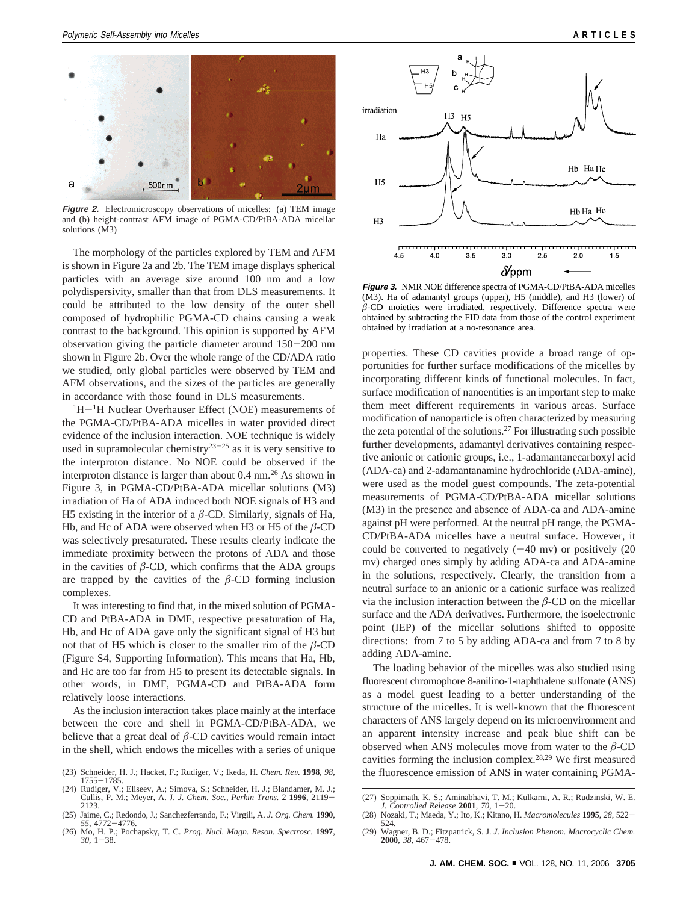

**Figure 2.** Electromicroscopy observations of micelles: (a) TEM image and (b) height-contrast AFM image of PGMA-CD/PtBA-ADA micellar solutions (M3)

The morphology of the particles explored by TEM and AFM is shown in Figure 2a and 2b. The TEM image displays spherical particles with an average size around 100 nm and a low polydispersivity, smaller than that from DLS measurements. It could be attributed to the low density of the outer shell composed of hydrophilic PGMA-CD chains causing a weak contrast to the background. This opinion is supported by AFM observation giving the particle diameter around 150-200 nm shown in Figure 2b. Over the whole range of the CD/ADA ratio we studied, only global particles were observed by TEM and AFM observations, and the sizes of the particles are generally in accordance with those found in DLS measurements.

 ${}^{1}H-{}^{1}H$  Nuclear Overhauser Effect (NOE) measurements of the PGMA-CD/PtBA-ADA micelles in water provided direct evidence of the inclusion interaction. NOE technique is widely used in supramolecular chemistry<sup>23-25</sup> as it is very sensitive to the interproton distance. No NOE could be observed if the interproton distance is larger than about  $0.4 \text{ nm}$ .<sup>26</sup> As shown in Figure 3, in PGMA-CD/PtBA-ADA micellar solutions (M3) irradiation of Ha of ADA induced both NOE signals of H3 and H5 existing in the interior of a  $\beta$ -CD. Similarly, signals of Ha, Hb, and Hc of ADA were observed when H3 or H5 of the *â*-CD was selectively presaturated. These results clearly indicate the immediate proximity between the protons of ADA and those in the cavities of  $\beta$ -CD, which confirms that the ADA groups are trapped by the cavities of the  $\beta$ -CD forming inclusion complexes.

It was interesting to find that, in the mixed solution of PGMA-CD and PtBA-ADA in DMF, respective presaturation of Ha, Hb, and Hc of ADA gave only the significant signal of H3 but not that of H5 which is closer to the smaller rim of the  $\beta$ -CD (Figure S4, Supporting Information). This means that Ha, Hb, and Hc are too far from H5 to present its detectable signals. In other words, in DMF, PGMA-CD and PtBA-ADA form relatively loose interactions.

As the inclusion interaction takes place mainly at the interface between the core and shell in PGMA-CD/PtBA-ADA, we believe that a great deal of  $\beta$ -CD cavities would remain intact in the shell, which endows the micelles with a series of unique

- (23) Schneider, H. J.; Hacket, F.; Rudiger, V.; Ikeda, H. *Chem. Re*V*.* **<sup>1998</sup>**, *<sup>98</sup>*, the fluorescence emission of ANS in water containing PGMA- <sup>1755</sup>-1785.
- (24) Rudiger, V.; Eliseev, A.; Simova, S.; Schneider, H. J.; Blandamer, M. J.; Cullis, P. M.; Meyer, A. J. *J. Chem. Soc., Perkin Trans.* <sup>2</sup> **<sup>1996</sup>**, 2119- 2123.
- (25) Jaime, C.; Redondo, J.; Sanchezferrando, F.; Virgili, A. *J. Org. Chem.* **1990**, *<sup>55</sup>*, 4772-4776. (26) Mo, H. P.; Pochapsky, T. C. *Prog. Nucl. Magn. Reson. Spectrosc.* **1997**,
- *<sup>30</sup>*, 1-38.



**Figure 3.** NMR NOE difference spectra of PGMA-CD/PtBA-ADA micelles (M3). Ha of adamantyl groups (upper), H5 (middle), and H3 (lower) of *â*-CD moieties were irradiated, respectively. Difference spectra were obtained by subtracting the FID data from those of the control experiment obtained by irradiation at a no-resonance area.

properties. These CD cavities provide a broad range of opportunities for further surface modifications of the micelles by incorporating different kinds of functional molecules. In fact, surface modification of nanoentities is an important step to make them meet different requirements in various areas. Surface modification of nanoparticle is often characterized by measuring the zeta potential of the solutions.27 For illustrating such possible further developments, adamantyl derivatives containing respective anionic or cationic groups, i.e., 1-adamantanecarboxyl acid (ADA-ca) and 2-adamantanamine hydrochloride (ADA-amine), were used as the model guest compounds. The zeta-potential measurements of PGMA-CD/PtBA-ADA micellar solutions (M3) in the presence and absence of ADA-ca and ADA-amine against pH were performed. At the neutral pH range, the PGMA-CD/PtBA-ADA micelles have a neutral surface. However, it could be converted to negatively  $(-40 \text{ mv})$  or positively  $(20 \text{ mv})$ mv) charged ones simply by adding ADA-ca and ADA-amine in the solutions, respectively. Clearly, the transition from a neutral surface to an anionic or a cationic surface was realized via the inclusion interaction between the *â*-CD on the micellar surface and the ADA derivatives. Furthermore, the isoelectronic point (IEP) of the micellar solutions shifted to opposite directions: from 7 to 5 by adding ADA-ca and from 7 to 8 by adding ADA-amine.

The loading behavior of the micelles was also studied using fluorescent chromophore 8-anilino-1-naphthalene sulfonate (ANS) as a model guest leading to a better understanding of the structure of the micelles. It is well-known that the fluorescent characters of ANS largely depend on its microenvironment and an apparent intensity increase and peak blue shift can be observed when ANS molecules move from water to the  $\beta$ -CD cavities forming the inclusion complex.28,29 We first measured

<sup>(27)</sup> Soppimath, K. S.; Aminabhavi, T. M.; Kulkarni, A. R.; Rudzinski, W. E. *J. Controlled Release* **<sup>2001</sup>**, *<sup>70</sup>*, 1-20.

<sup>(28)</sup> Nozaki, T.; Maeda, Y.; Ito, K.; Kitano, H. *Macromolecules* **1995**, 28, 522–524.<br>524.<br>(29) Wagner B. D.: Fitzpatrick S. J. *J. Inclusion Phenom Macrocyclic Chem* 

<sup>(29)</sup> Wagner, B. D.; Fitzpatrick, S. J. *J. Inclusion Phenom. Macrocyclic Chem.* **<sup>2000</sup>**, *<sup>38</sup>*, 467-478.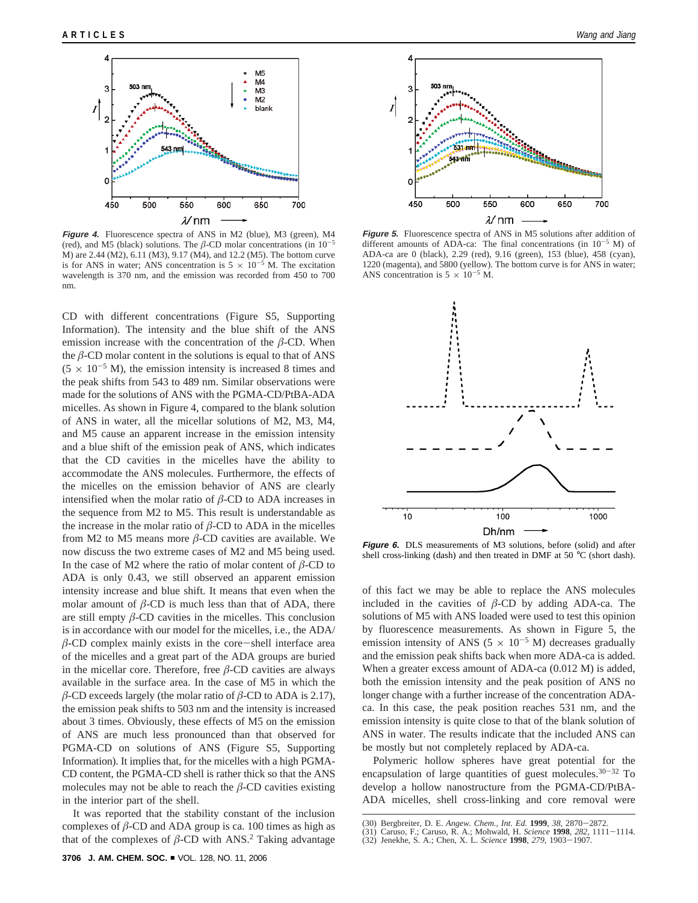

**Figure 4.** Fluorescence spectra of ANS in M2 (blue), M3 (green), M4 (red), and M5 (black) solutions. The  $\beta$ -CD molar concentrations (in 10<sup>-5</sup> M) are 2.44 (M2), 6.11 (M3), 9.17 (M4), and 12.2 (M5). The bottom curve is for ANS in water; ANS concentration is  $5 \times 10^{-5}$  M. The excitation wavelength is 370 nm, and the emission was recorded from 450 to 700 nm.

CD with different concentrations (Figure S5, Supporting Information). The intensity and the blue shift of the ANS emission increase with the concentration of the  $\beta$ -CD. When the  $\beta$ -CD molar content in the solutions is equal to that of ANS  $(5 \times 10^{-5} \text{ M})$ , the emission intensity is increased 8 times and the peak shifts from 543 to 489 nm. Similar observations were made for the solutions of ANS with the PGMA-CD/PtBA-ADA micelles. As shown in Figure 4, compared to the blank solution of ANS in water, all the micellar solutions of M2, M3, M4, and M5 cause an apparent increase in the emission intensity and a blue shift of the emission peak of ANS, which indicates that the CD cavities in the micelles have the ability to accommodate the ANS molecules. Furthermore, the effects of the micelles on the emission behavior of ANS are clearly intensified when the molar ratio of *â*-CD to ADA increases in the sequence from M2 to M5. This result is understandable as the increase in the molar ratio of  $\beta$ -CD to ADA in the micelles from M2 to M5 means more  $\beta$ -CD cavities are available. We now discuss the two extreme cases of M2 and M5 being used. In the case of M2 where the ratio of molar content of  $\beta$ -CD to ADA is only 0.43, we still observed an apparent emission intensity increase and blue shift. It means that even when the molar amount of  $\beta$ -CD is much less than that of ADA, there are still empty *â*-CD cavities in the micelles. This conclusion is in accordance with our model for the micelles, i.e., the ADA/  $\beta$ -CD complex mainly exists in the core-shell interface area of the micelles and a great part of the ADA groups are buried in the micellar core. Therefore, free  $\beta$ -CD cavities are always available in the surface area. In the case of M5 in which the  $\beta$ -CD exceeds largely (the molar ratio of  $\beta$ -CD to ADA is 2.17), the emission peak shifts to 503 nm and the intensity is increased about 3 times. Obviously, these effects of M5 on the emission of ANS are much less pronounced than that observed for PGMA-CD on solutions of ANS (Figure S5, Supporting Information). It implies that, for the micelles with a high PGMA-CD content, the PGMA-CD shell is rather thick so that the ANS molecules may not be able to reach the  $\beta$ -CD cavities existing in the interior part of the shell.

It was reported that the stability constant of the inclusion complexes of  $\beta$ -CD and ADA group is ca. 100 times as high as that of the complexes of  $\beta$ -CD with ANS.<sup>2</sup> Taking advantage



**Figure 5.** Fluorescence spectra of ANS in M5 solutions after addition of different amounts of ADA-ca: The final concentrations (in  $10^{-5}$  M) of ADA-ca are 0 (black), 2.29 (red), 9.16 (green), 153 (blue), 458 (cyan), 1220 (magenta), and 5800 (yellow). The bottom curve is for ANS in water; ANS concentration is  $5 \times 10^{-5}$  M.



**Figure 6.** DLS measurements of M3 solutions, before (solid) and after shell cross-linking (dash) and then treated in DMF at 50 °C (short dash).

of this fact we may be able to replace the ANS molecules included in the cavities of *â*-CD by adding ADA-ca. The solutions of M5 with ANS loaded were used to test this opinion by fluorescence measurements. As shown in Figure 5, the emission intensity of ANS ( $5 \times 10^{-5}$  M) decreases gradually and the emission peak shifts back when more ADA-ca is added. When a greater excess amount of ADA-ca  $(0.012 \text{ M})$  is added, both the emission intensity and the peak position of ANS no longer change with a further increase of the concentration ADAca. In this case, the peak position reaches 531 nm, and the emission intensity is quite close to that of the blank solution of ANS in water. The results indicate that the included ANS can be mostly but not completely replaced by ADA-ca.

Polymeric hollow spheres have great potential for the encapsulation of large quantities of guest molecules.  $30-32$  To develop a hollow nanostructure from the PGMA-CD/PtBA-ADA micelles, shell cross-linking and core removal were

<sup>(30)</sup> Bergbreiter, D. E. *Angew. Chem., Int. Ed.* **1999**, 38, 2870–2872.<br>(31) Caruso, F.; Caruso, R. A.; Mohwald, H. *Science* **1998**, 282, 1111–1114.<br>(32) Jenekhe, S. A.; Chen, X. L. *Science* **1998**, 279, 1903–1907.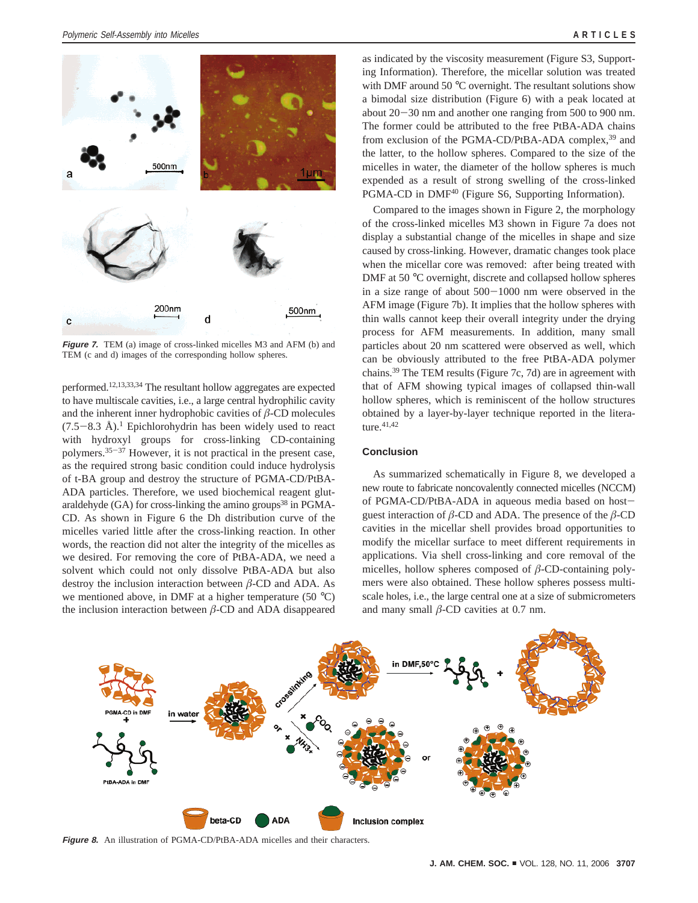

**Figure 7.** TEM (a) image of cross-linked micelles M3 and AFM (b) and TEM (c and d) images of the corresponding hollow spheres.

performed.12,13,33,34 The resultant hollow aggregates are expected to have multiscale cavities, i.e., a large central hydrophilic cavity and the inherent inner hydrophobic cavities of  $\beta$ -CD molecules  $(7.5-8.3 \text{ Å})$ .<sup>1</sup> Epichlorohydrin has been widely used to react with hydroxyl groups for cross-linking CD-containing polymers.35-<sup>37</sup> However, it is not practical in the present case, as the required strong basic condition could induce hydrolysis of t-BA group and destroy the structure of PGMA-CD/PtBA-ADA particles. Therefore, we used biochemical reagent glutaraldehyde  $(GA)$  for cross-linking the amino groups<sup>38</sup> in PGMA-CD. As shown in Figure 6 the Dh distribution curve of the micelles varied little after the cross-linking reaction. In other words, the reaction did not alter the integrity of the micelles as we desired. For removing the core of PtBA-ADA, we need a solvent which could not only dissolve PtBA-ADA but also destroy the inclusion interaction between *â*-CD and ADA. As we mentioned above, in DMF at a higher temperature (50 °C) the inclusion interaction between *â*-CD and ADA disappeared

as indicated by the viscosity measurement (Figure S3, Supporting Information). Therefore, the micellar solution was treated with DMF around 50 °C overnight. The resultant solutions show a bimodal size distribution (Figure 6) with a peak located at about 20-30 nm and another one ranging from 500 to 900 nm. The former could be attributed to the free PtBA-ADA chains from exclusion of the PGMA-CD/PtBA-ADA complex,<sup>39</sup> and the latter, to the hollow spheres. Compared to the size of the micelles in water, the diameter of the hollow spheres is much expended as a result of strong swelling of the cross-linked PGMA-CD in DMF<sup>40</sup> (Figure S6, Supporting Information).

Compared to the images shown in Figure 2, the morphology of the cross-linked micelles M3 shown in Figure 7a does not display a substantial change of the micelles in shape and size caused by cross-linking. However, dramatic changes took place when the micellar core was removed: after being treated with DMF at 50 °C overnight, discrete and collapsed hollow spheres in a size range of about 500-1000 nm were observed in the AFM image (Figure 7b). It implies that the hollow spheres with thin walls cannot keep their overall integrity under the drying process for AFM measurements. In addition, many small particles about 20 nm scattered were observed as well, which can be obviously attributed to the free PtBA-ADA polymer chains.39 The TEM results (Figure 7c, 7d) are in agreement with that of AFM showing typical images of collapsed thin-wall hollow spheres, which is reminiscent of the hollow structures obtained by a layer-by-layer technique reported in the literature.<sup>41,42</sup>

## **Conclusion**

As summarized schematically in Figure 8, we developed a new route to fabricate noncovalently connected micelles (NCCM) of PGMA-CD/PtBA-ADA in aqueous media based on hostguest interaction of  $\beta$ -CD and ADA. The presence of the  $\beta$ -CD cavities in the micellar shell provides broad opportunities to modify the micellar surface to meet different requirements in applications. Via shell cross-linking and core removal of the micelles, hollow spheres composed of *â*-CD-containing polymers were also obtained. These hollow spheres possess multiscale holes, i.e., the large central one at a size of submicrometers and many small *â*-CD cavities at 0.7 nm.



**Figure 8.** An illustration of PGMA-CD/PtBA-ADA micelles and their characters.